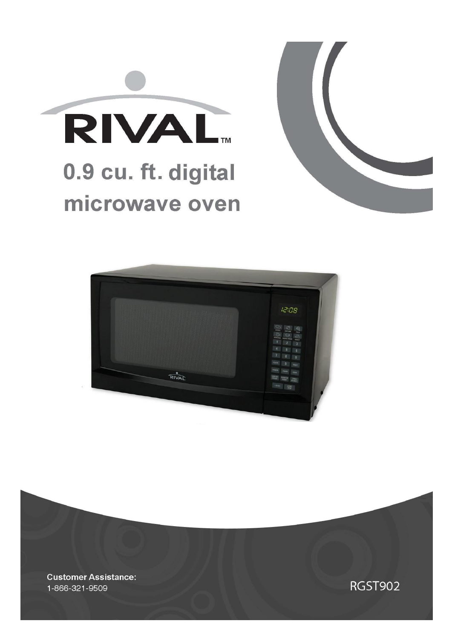





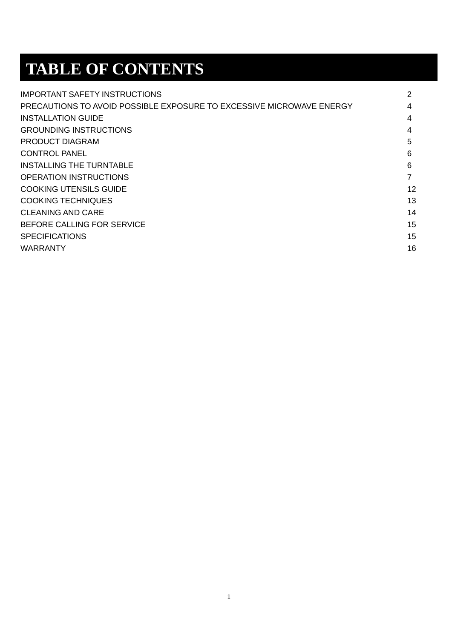# **TABLE OF CONTENTS**

| <b>IMPORTANT SAFETY INSTRUCTIONS</b>                                 | $\overline{2}$ |
|----------------------------------------------------------------------|----------------|
| PRECAUTIONS TO AVOID POSSIBLE EXPOSURE TO EXCESSIVE MICROWAVE ENERGY | 4              |
| <b>INSTALLATION GUIDE</b>                                            | 4              |
| <b>GROUNDING INSTRUCTIONS</b>                                        | 4              |
| PRODUCT DIAGRAM                                                      | 5              |
| CONTROL PANEL                                                        | 6              |
| INSTALLING THE TURNTABLE                                             | 6              |
| <b>OPERATION INSTRUCTIONS</b>                                        | 7              |
| COOKING UTENSILS GUIDE                                               | 12             |
| <b>COOKING TECHNIQUES</b>                                            | 13             |
| CLEANING AND CARE                                                    | 14             |
| BEFORE CALLING FOR SERVICE                                           | 15             |
| <b>SPECIFICATIONS</b>                                                | 15             |
| <b>WARRANTY</b>                                                      | 16             |
|                                                                      |                |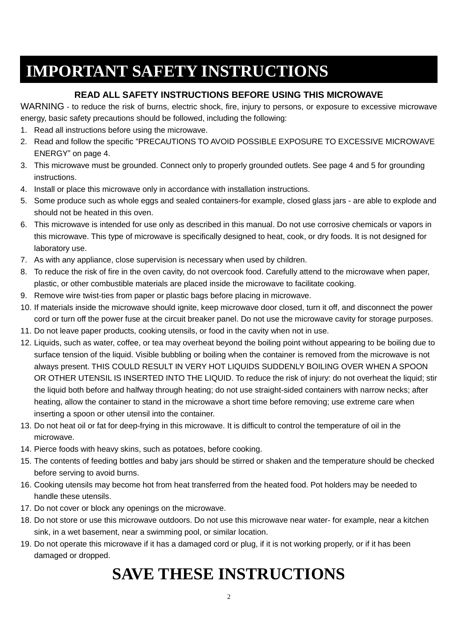## **IMPORTANT SAFETY INSTRUCTIONS**

#### **READ ALL SAFETY INSTRUCTIONS BEFORE USING THIS MICROWAVE**

WARNING - to reduce the risk of burns, electric shock, fire, injury to persons, or exposure to excessive microwave energy, basic safety precautions should be followed, including the following:

- 1. Read all instructions before using the microwave.
- 2. Read and follow the specific "PRECAUTIONS TO AVOID POSSIBLE EXPOSURE TO EXCESSIVE MICROWAVE ENERGY" on page 4.
- 3. This microwave must be grounded. Connect only to properly grounded outlets. See page 4 and 5 for grounding instructions.
- 4. Install or place this microwave only in accordance with installation instructions.
- 5. Some produce such as whole eggs and sealed containers-for example, closed glass jars are able to explode and should not be heated in this oven.
- 6. This microwave is intended for use only as described in this manual. Do not use corrosive chemicals or vapors in this microwave. This type of microwave is specifically designed to heat, cook, or dry foods. It is not designed for laboratory use.
- 7. As with any appliance, close supervision is necessary when used by children.
- 8. To reduce the risk of fire in the oven cavity, do not overcook food. Carefully attend to the microwave when paper, plastic, or other combustible materials are placed inside the microwave to facilitate cooking.
- 9. Remove wire twist-ties from paper or plastic bags before placing in microwave.
- 10. If materials inside the microwave should ignite, keep microwave door closed, turn it off, and disconnect the power cord or turn off the power fuse at the circuit breaker panel. Do not use the microwave cavity for storage purposes.
- 11. Do not leave paper products, cooking utensils, or food in the cavity when not in use.
- 12. Liquids, such as water, coffee, or tea may overheat beyond the boiling point without appearing to be boiling due to surface tension of the liquid. Visible bubbling or boiling when the container is removed from the microwave is not always present. THIS COULD RESULT IN VERY HOT LIQUIDS SUDDENLY BOILING OVER WHEN A SPOON OR OTHER UTENSIL IS INSERTED INTO THE LIQUID. To reduce the risk of injury: do not overheat the liquid; stir the liquid both before and halfway through heating; do not use straight-sided containers with narrow necks; after heating, allow the container to stand in the microwave a short time before removing; use extreme care when inserting a spoon or other utensil into the container.
- 13. Do not heat oil or fat for deep-frying in this microwave. It is difficult to control the temperature of oil in the microwave.
- 14. Pierce foods with heavy skins, such as potatoes, before cooking.
- 15. The contents of feeding bottles and baby jars should be stirred or shaken and the temperature should be checked before serving to avoid burns.
- 16. Cooking utensils may become hot from heat transferred from the heated food. Pot holders may be needed to handle these utensils.
- 17. Do not cover or block any openings on the microwave.
- 18. Do not store or use this microwave outdoors. Do not use this microwave near water- for example, near a kitchen sink, in a wet basement, near a swimming pool, or similar location.
- 19. Do not operate this microwave if it has a damaged cord or plug, if it is not working properly, or if it has been damaged or dropped.

# **SAVE THESE INSTRUCTIONS**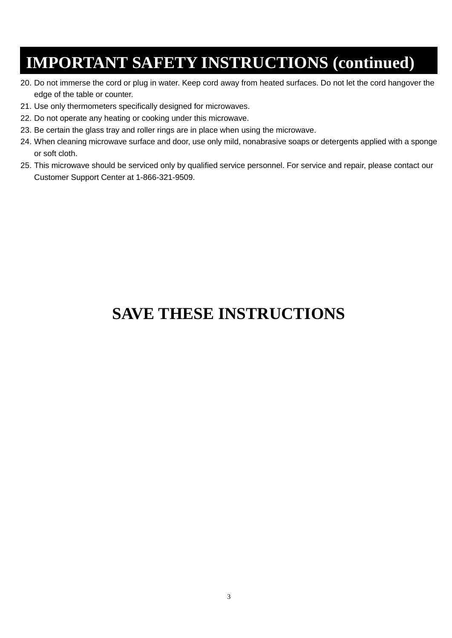## **IMPORTANT SAFETY INSTRUCTIONS (continued)**

- 20. Do not immerse the cord or plug in water. Keep cord away from heated surfaces. Do not let the cord hangover the edge of the table or counter.
- 21. Use only thermometers specifically designed for microwaves.
- 22. Do not operate any heating or cooking under this microwave.
- 23. Be certain the glass tray and roller rings are in place when using the microwave.
- 24. When cleaning microwave surface and door, use only mild, nonabrasive soaps or detergents applied with a sponge or soft cloth.
- 25. This microwave should be serviced only by qualified service personnel. For service and repair, please contact our Customer Support Center at 1-866-321-9509.

## **SAVE THESE INSTRUCTIONS**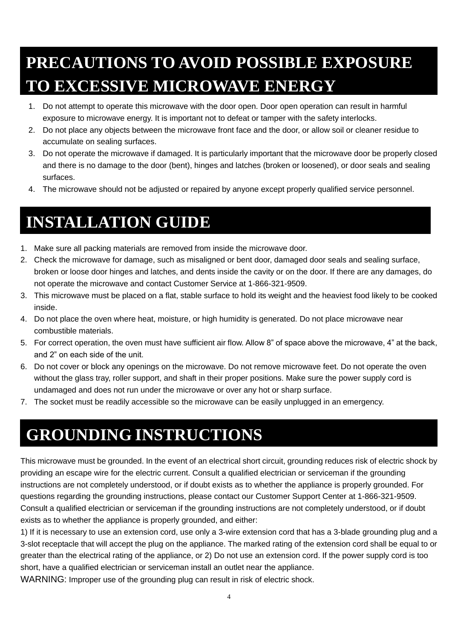# **PRECAUTIONS TO AVOID POSSIBLE EXPOSURE TO EXCESSIVE MICROWAVE ENERGY**

- 1. Do not attempt to operate this microwave with the door open. Door open operation can result in harmful exposure to microwave energy. It is important not to defeat or tamper with the safety interlocks.
- 2. Do not place any objects between the microwave front face and the door, or allow soil or cleaner residue to accumulate on sealing surfaces.
- 3. Do not operate the microwave if damaged. It is particularly important that the microwave door be properly closed and there is no damage to the door (bent), hinges and latches (broken or loosened), or door seals and sealing surfaces.
- 4. The microwave should not be adjusted or repaired by anyone except properly qualified service personnel.

# **INSTALLATION GUIDE**

- 1. Make sure all packing materials are removed from inside the microwave door.
- 2. Check the microwave for damage, such as misaligned or bent door, damaged door seals and sealing surface, broken or loose door hinges and latches, and dents inside the cavity or on the door. If there are any damages, do not operate the microwave and contact Customer Service at 1-866-321-9509.
- 3. This microwave must be placed on a flat, stable surface to hold its weight and the heaviest food likely to be cooked inside.
- 4. Do not place the oven where heat, moisture, or high humidity is generated. Do not place microwave near combustible materials.
- 5. For correct operation, the oven must have sufficient air flow. Allow 8" of space above the microwave, 4" at the back, and 2" on each side of the unit.
- 6. Do not cover or block any openings on the microwave. Do not remove microwave feet. Do not operate the oven without the glass tray, roller support, and shaft in their proper positions. Make sure the power supply cord is undamaged and does not run under the microwave or over any hot or sharp surface.
- 7. The socket must be readily accessible so the microwave can be easily unplugged in an emergency.

# **GROUNDING INSTRUCTIONS**

This microwave must be grounded. In the event of an electrical short circuit, grounding reduces risk of electric shock by providing an escape wire for the electric current. Consult a qualified electrician or serviceman if the grounding instructions are not completely understood, or if doubt exists as to whether the appliance is properly grounded. For questions regarding the grounding instructions, please contact our Customer Support Center at 1-866-321-9509. Consult a qualified electrician or serviceman if the grounding instructions are not completely understood, or if doubt exists as to whether the appliance is properly grounded, and either:

1) If it is necessary to use an extension cord, use only a 3-wire extension cord that has a 3-blade grounding plug and a 3-slot receptacle that will accept the plug on the appliance. The marked rating of the extension cord shall be equal to or greater than the electrical rating of the appliance, or 2) Do not use an extension cord. If the power supply cord is too short, have a qualified electrician or serviceman install an outlet near the appliance.

WARNING: Improper use of the grounding plug can result in risk of electric shock.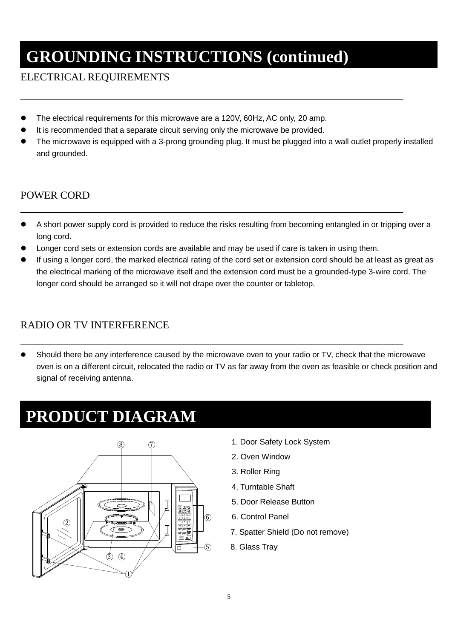# **GROUNDING INSTRUCTIONS (continued)**

#### ELECTRICAL REQUIREMENTS

- The electrical requirements for this microwave are a 120V, 60Hz, AC only, 20 amp.
- It is recommended that a separate circuit serving only the microwave be provided.
- The microwave is equipped with a 3-prong grounding plug. It must be plugged into a wall outlet properly installed and grounded.

#### POWER CORD

- A short power supply cord is provided to reduce the risks resulting from becoming entangled in or tripping over a long cord.
- Longer cord sets or extension cords are available and may be used if care is taken in using them.
- If using a longer cord, the marked electrical rating of the cord set or extension cord should be at least as great as the electrical marking of the microwave itself and the extension cord must be a grounded-type 3-wire cord. The longer cord should be arranged so it will not drape over the counter or tabletop.

#### RADIO OR TV INTERFERENCE

 Should there be any interference caused by the microwave oven to your radio or TV, check that the microwave oven is on a different circuit, relocated the radio or TV as far away from the oven as feasible or check position and signal of receiving antenna.

## **PRODUCT DIAGRAM**



- 1. Door Safety Lock System
- 2. Oven Window
- 3. Roller Ring
- 4. Turntable Shaft
- 5. Door Release Button
- 6. Control Panel
- 7. Spatter Shield (Do not remove)
- 8. Glass Tray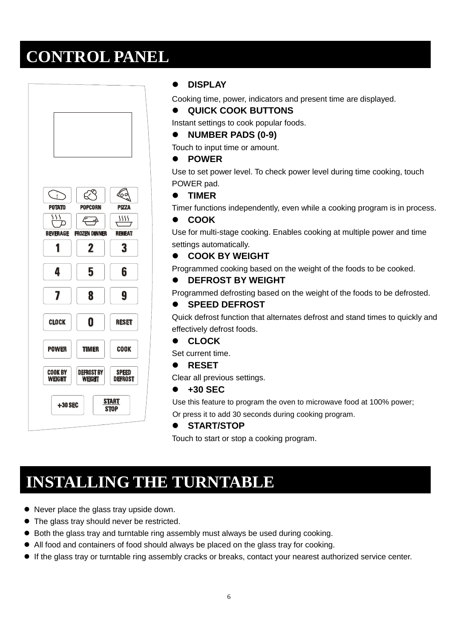## **CONTROL PANEL**



#### **DISPLAY**

Cooking time, power, indicators and present time are displayed.

**QUICK COOK BUTTONS**

Instant settings to cook popular foods.

**NUMBER PADS (0-9)**

Touch to input time or amount.

**POWER** 

Use to set power level. To check power level during time cooking, touch POWER pad.

**TIMER**

Timer functions independently, even while a cooking program is in process.

#### **COOK**

Use for multi-stage cooking. Enables cooking at multiple power and time settings automatically.

**COOK BY WEIGHT**

Programmed cooking based on the weight of the foods to be cooked.

#### **DEFROST BY WEIGHT**

Programmed defrosting based on the weight of the foods to be defrosted.

#### **SPEED DEFROST**

Quick defrost function that alternates defrost and stand times to quickly and effectively defrost foods.

**CLOCK**

Set current time.

**RESET**

Clear all previous settings.

**+30 SEC**

Use this feature to program the oven to microwave food at 100% power; Or press it to add 30 seconds during cooking program.

#### **START/STOP**

Touch to start or stop a cooking program.

## **INSTALLING THE TURNTABLE**

- Never place the glass tray upside down.
- The glass tray should never be restricted.
- Both the glass tray and turntable ring assembly must always be used during cooking.
- All food and containers of food should always be placed on the glass tray for cooking.
- If the glass tray or turntable ring assembly cracks or breaks, contact your nearest authorized service center.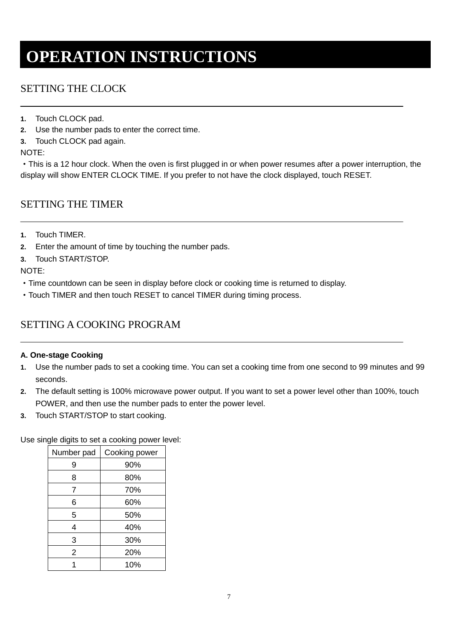## **OPERATION INSTRUCTIONS**

### SETTING THE CLOCK

- **1.** Touch CLOCK pad.
- **2.** Use the number pads to enter the correct time.
- **3.** Touch CLOCK pad again.

NOTE:

·This is a 12 hour clock. When the oven is first plugged in or when power resumes after a power interruption, the display will show ENTER CLOCK TIME. If you prefer to not have the clock displayed, touch RESET.

#### SETTING THE TIMER

- **1.** Touch TIMER.
- **2.** Enter the amount of time by touching the number pads.
- **3.** Touch START/STOP.

NOTE:

- ·Time countdown can be seen in display before clock or cooking time is returned to display.
- ·Touch TIMER and then touch RESET to cancel TIMER during timing process.

### SETTING A COOKING PROGRAM

#### **A. One-stage Cooking**

- **1.** Use the number pads to set a cooking time. You can set a cooking time from one second to 99 minutes and 99 seconds.
- **2.** The default setting is 100% microwave power output. If you want to set a power level other than 100%, touch POWER, and then use the number pads to enter the power level.
- **3.** Touch START/STOP to start cooking.

Use single digits to set a cooking power level:

| Number pad | Cooking power |
|------------|---------------|
| 9          | 90%           |
| 8          | 80%           |
| 7          | 70%           |
| 6          | 60%           |
| 5          | 50%           |
| 4          | 40%           |
| 3          | 30%           |
| 2          | 20%           |
|            | 10%           |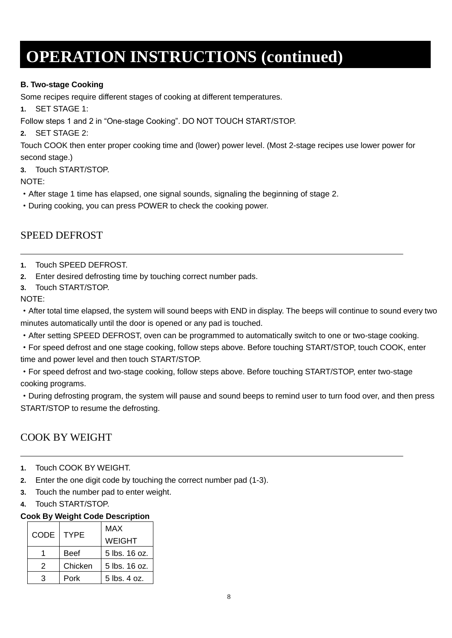#### **B. Two-stage Cooking**

Some recipes require different stages of cooking at different temperatures.

**1.** SET STAGE 1:

Follow steps 1 and 2 in "One-stage Cooking". DO NOT TOUCH START/STOP.

**2.** SET STAGE 2:

Touch COOK then enter proper cooking time and (lower) power level. (Most 2-stage recipes use lower power for second stage.)

**3.** Touch START/STOP.

NOTE:

- ·After stage 1 time has elapsed, one signal sounds, signaling the beginning of stage 2.
- ·During cooking, you can press POWER to check the cooking power.

#### SPEED DEFROST

- **1.** Touch SPEED DEFROST.
- **2.** Enter desired defrosting time by touching correct number pads.
- **3.** Touch START/STOP.

#### NOTE:

·After total time elapsed, the system will sound beeps with END in display. The beeps will continue to sound every two minutes automatically until the door is opened or any pad is touched.

- ·After setting SPEED DEFROST, oven can be programmed to automatically switch to one or two-stage cooking.
- ·For speed defrost and one stage cooking, follow steps above. Before touching START/STOP, touch COOK, enter time and power level and then touch START/STOP.
- ·For speed defrost and two-stage cooking, follow steps above. Before touching START/STOP, enter two-stage cooking programs.

·During defrosting program, the system will pause and sound beeps to remind user to turn food over, and then press START/STOP to resume the defrosting.

## COOK BY WEIGHT

- **1.** Touch COOK BY WEIGHT.
- **2.** Enter the one digit code by touching the correct number pad (1-3).
- **3.** Touch the number pad to enter weight.
- **4.** Touch START/STOP.

#### **Cook By Weight Code Description**

|      | <b>TYPE</b> | MAX           |
|------|-------------|---------------|
| CODE |             | <b>WEIGHT</b> |
|      | <b>Beef</b> | 5 lbs. 16 oz. |
| 2    | Chicken     | 5 lbs. 16 oz. |
|      | Pork        | 5 lbs. 4 oz.  |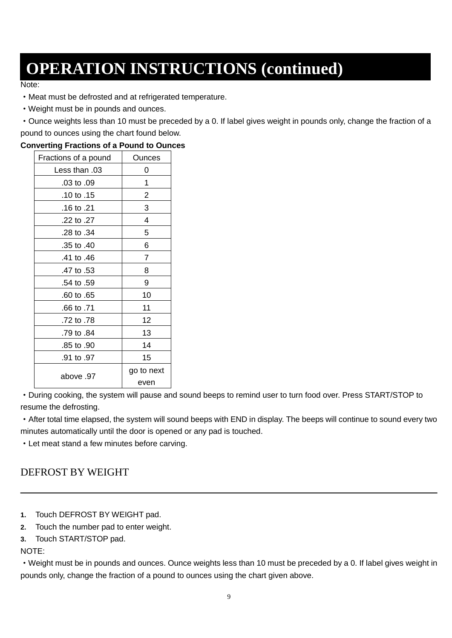Note:

·Meat must be defrosted and at refrigerated temperature.

- ·Weight must be in pounds and ounces.
- ·Ounce weights less than 10 must be preceded by a 0. If label gives weight in pounds only, change the fraction of a pound to ounces using the chart found below.

**Converting Fractions of a Pound to Ounces**

| . <del>.</del>       |                |
|----------------------|----------------|
| Fractions of a pound | Ounces         |
| Less than .03        | 0              |
| .03 to .09           | 1              |
| 10 to .15            | 2              |
| .16 to .21           | 3              |
| .22 to .27           | 4              |
| .28 to .34           | 5              |
| .35 to .40           | 6              |
| .41 to .46           | $\overline{7}$ |
| .47 to .53           | 8              |
| .54 to .59           | 9              |
| .60 to .65           | 10             |
| .66 to .71           | 11             |
| .72 to .78           | 12             |
| .79 to .84           | 13             |
| .85 to .90           | 14             |
| .91 to .97           | 15             |
|                      | go to next     |
| 97. above            | even           |

·During cooking, the system will pause and sound beeps to remind user to turn food over. Press START/STOP to resume the defrosting.

·After total time elapsed, the system will sound beeps with END in display. The beeps will continue to sound every two minutes automatically until the door is opened or any pad is touched.

·Let meat stand a few minutes before carving.

## DEFROST BY WEIGHT

**1.** Touch DEFROST BY WEIGHT pad.

**2.** Touch the number pad to enter weight.

**3.** Touch START/STOP pad.

NOTE:

·Weight must be in pounds and ounces. Ounce weights less than 10 must be preceded by a 0. If label gives weight in pounds only, change the fraction of a pound to ounces using the chart given above.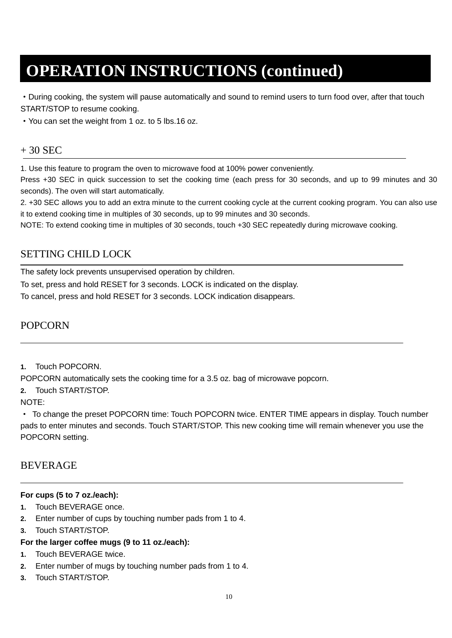·During cooking, the system will pause automatically and sound to remind users to turn food over, after that touch START/STOP to resume cooking.

·You can set the weight from 1 oz. to 5 lbs.16 oz.

#### $+30$  SEC

1. Use this feature to program the oven to microwave food at 100% power conveniently.

Press +30 SEC in quick succession to set the cooking time (each press for 30 seconds, and up to 99 minutes and 30 seconds). The oven will start automatically.

2. +30 SEC allows you to add an extra minute to the current cooking cycle at the current cooking program. You can also use it to extend cooking time in multiples of 30 seconds, up to 99 minutes and 30 seconds.

NOTE: To extend cooking time in multiples of 30 seconds, touch +30 SEC repeatedly during microwave cooking.

#### SETTING CHILD LOCK

The safety lock prevents unsupervised operation by children.

To set, press and hold RESET for 3 seconds. LOCK is indicated on the display.

To cancel, press and hold RESET for 3 seconds. LOCK indication disappears.

#### POPCORN

**1.** Touch POPCORN.

POPCORN automatically sets the cooking time for a 3.5 oz. bag of microwave popcorn.

**2.** Touch START/STOP.

NOTE:

· To change the preset POPCORN time: Touch POPCORN twice. ENTER TIME appears in display. Touch number pads to enter minutes and seconds. Touch START/STOP. This new cooking time will remain whenever you use the POPCORN setting.

#### BEVERAGE

#### **For cups (5 to 7 oz./each):**

- **1.** Touch BEVERAGE once.
- **2.** Enter number of cups by touching number pads from 1 to 4.
- **3.** Touch START/STOP.

#### **For the larger coffee mugs (9 to 11 oz./each):**

- **1.** Touch BEVERAGE twice.
- **2.** Enter number of mugs by touching number pads from 1 to 4.
- **3.** Touch START/STOP.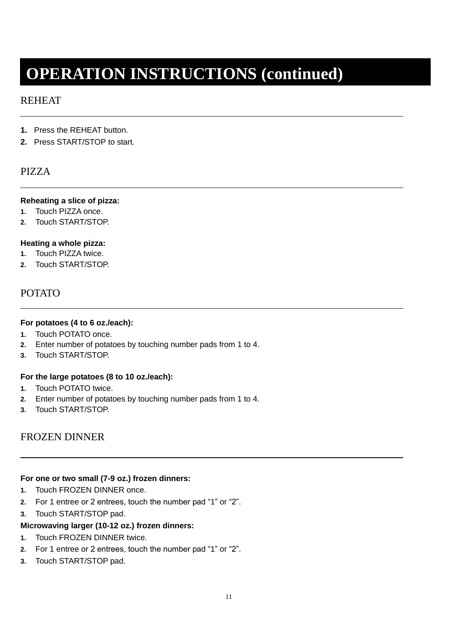#### REHEAT

- **1.** Press the REHEAT button.
- **2.** Press START/STOP to start.

#### PIZZA

#### **Reheating a slice of pizza:**

- **1.** Touch PIZZA once.
- **2.** Touch START/STOP.

#### **Heating a whole pizza:**

- **1.** Touch PIZZA twice.
- **2.** Touch START/STOP.

#### POTATO

#### **For potatoes (4 to 6 oz./each):**

- **1.** Touch POTATO once.
- **2.** Enter number of potatoes by touching number pads from 1 to 4.
- **3.** Touch START/STOP.

#### **For the large potatoes (8 to 10 oz./each):**

- **1.** Touch POTATO twice.
- **2.** Enter number of potatoes by touching number pads from 1 to 4.
- **3.** Touch START/STOP.

#### FROZEN DINNER

#### **For one or two small (7-9 oz.) frozen dinners:**

- **1.** Touch FROZEN DINNER once.
- **2.** For 1 entree or 2 entrees, touch the number pad "1" or "2".
- **3.** Touch START/STOP pad.

#### **Microwaving larger (10-12 oz.) frozen dinners:**

- **1.** Touch FROZEN DINNER twice.
- **2.** For 1 entree or 2 entrees, touch the number pad "1" or "2".
- **3.** Touch START/STOP pad.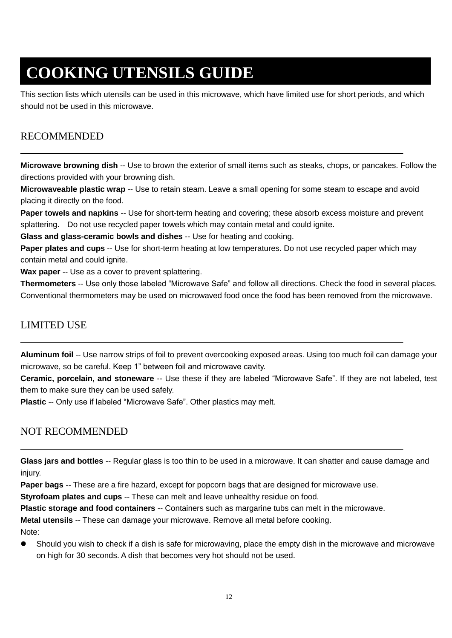# **COOKING UTENSILS GUIDE**

This section lists which utensils can be used in this microwave, which have limited use for short periods, and which should not be used in this microwave.

### RECOMMENDED

**Microwave browning dish** -- Use to brown the exterior of small items such as steaks, chops, or pancakes. Follow the directions provided with your browning dish.

**Microwaveable plastic wrap** -- Use to retain steam. Leave a small opening for some steam to escape and avoid placing it directly on the food.

**Paper towels and napkins** -- Use for short-term heating and covering; these absorb excess moisture and prevent splattering. Do not use recycled paper towels which may contain metal and could ignite.

**Glass and glass-ceramic bowls and dishes** -- Use for heating and cooking.

**Paper plates and cups** -- Use for short-term heating at low temperatures. Do not use recycled paper which may contain metal and could ignite.

**Wax paper** -- Use as a cover to prevent splattering.

**Thermometers** -- Use only those labeled "Microwave Safe" and follow all directions. Check the food in several places. Conventional thermometers may be used on microwaved food once the food has been removed from the microwave.

#### LIMITED USE

**Aluminum foil** -- Use narrow strips of foil to prevent overcooking exposed areas. Using too much foil can damage your microwave, so be careful. Keep 1" between foil and microwave cavity.

**Ceramic, porcelain, and stoneware** -- Use these if they are labeled "Microwave Safe". If they are not labeled, test them to make sure they can be used safely.

**Plastic** -- Only use if labeled "Microwave Safe". Other plastics may melt.

### NOT RECOMMENDED

**Glass jars and bottles** -- Regular glass is too thin to be used in a microwave. It can shatter and cause damage and injury.

**Paper bags** -- These are a fire hazard, except for popcorn bags that are designed for microwave use.

**Styrofoam plates and cups** -- These can melt and leave unhealthy residue on food.

**Plastic storage and food containers** -- Containers such as margarine tubs can melt in the microwave.

**Metal utensils** -- These can damage your microwave. Remove all metal before cooking.

Note:

 Should you wish to check if a dish is safe for microwaving, place the empty dish in the microwave and microwave on high for 30 seconds. A dish that becomes very hot should not be used.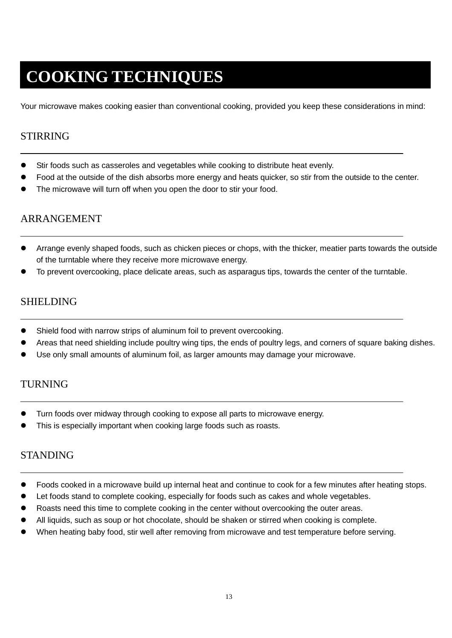# **COOKING TECHNIQUES**

Your microwave makes cooking easier than conventional cooking, provided you keep these considerations in mind:

#### STIRRING

- Stir foods such as casseroles and vegetables while cooking to distribute heat evenly.
- Food at the outside of the dish absorbs more energy and heats quicker, so stir from the outside to the center.
- The microwave will turn off when you open the door to stir your food.

#### ARRANGEMENT

- Arrange evenly shaped foods, such as chicken pieces or chops, with the thicker, meatier parts towards the outside of the turntable where they receive more microwave energy.
- To prevent overcooking, place delicate areas, such as asparagus tips, towards the center of the turntable.

#### SHIELDING

- Shield food with narrow strips of aluminum foil to prevent overcooking.
- Areas that need shielding include poultry wing tips, the ends of poultry legs, and corners of square baking dishes.
- Use only small amounts of aluminum foil, as larger amounts may damage your microwave.

#### TURNING

- Turn foods over midway through cooking to expose all parts to microwave energy.
- This is especially important when cooking large foods such as roasts.

#### **STANDING**

- Foods cooked in a microwave build up internal heat and continue to cook for a few minutes after heating stops.
- Let foods stand to complete cooking, especially for foods such as cakes and whole vegetables.
- Roasts need this time to complete cooking in the center without overcooking the outer areas.
- All liquids, such as soup or hot chocolate, should be shaken or stirred when cooking is complete.
- When heating baby food, stir well after removing from microwave and test temperature before serving.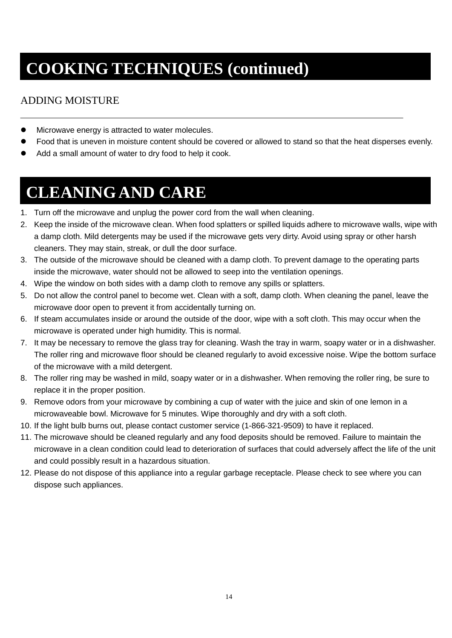# **COOKING TECHNIQUES (continued)**

## ADDING MOISTURE

- $\bullet$  Microwave energy is attracted to water molecules.
- Food that is uneven in moisture content should be covered or allowed to stand so that the heat disperses evenly.
- Add a small amount of water to dry food to help it cook.

# **CLEANING AND CARE**

- 1. Turn off the microwave and unplug the power cord from the wall when cleaning.
- 2. Keep the inside of the microwave clean. When food splatters or spilled liquids adhere to microwave walls, wipe with a damp cloth. Mild detergents may be used if the microwave gets very dirty. Avoid using spray or other harsh cleaners. They may stain, streak, or dull the door surface.
- 3. The outside of the microwave should be cleaned with a damp cloth. To prevent damage to the operating parts inside the microwave, water should not be allowed to seep into the ventilation openings.
- 4. Wipe the window on both sides with a damp cloth to remove any spills or splatters.
- 5. Do not allow the control panel to become wet. Clean with a soft, damp cloth. When cleaning the panel, leave the microwave door open to prevent it from accidentally turning on.
- 6. If steam accumulates inside or around the outside of the door, wipe with a soft cloth. This may occur when the microwave is operated under high humidity. This is normal.
- 7. It may be necessary to remove the glass tray for cleaning. Wash the tray in warm, soapy water or in a dishwasher. The roller ring and microwave floor should be cleaned regularly to avoid excessive noise. Wipe the bottom surface of the microwave with a mild detergent.
- 8. The roller ring may be washed in mild, soapy water or in a dishwasher. When removing the roller ring, be sure to replace it in the proper position.
- 9. Remove odors from your microwave by combining a cup of water with the juice and skin of one lemon in a microwaveable bowl. Microwave for 5 minutes. Wipe thoroughly and dry with a soft cloth.
- 10. If the light bulb burns out, please contact customer service (1-866-321-9509) to have it replaced.
- 11. The microwave should be cleaned regularly and any food deposits should be removed. Failure to maintain the microwave in a clean condition could lead to deterioration of surfaces that could adversely affect the life of the unit and could possibly result in a hazardous situation.
- 12. Please do not dispose of this appliance into a regular garbage receptacle. Please check to see where you can dispose such appliances.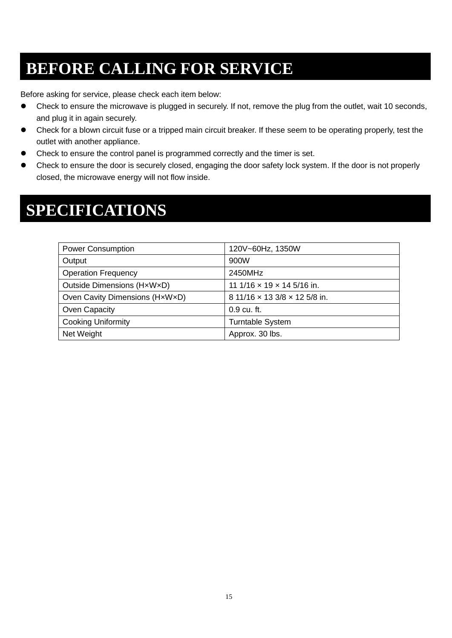# **BEFORE CALLING FOR SERVICE**

Before asking for service, please check each item below:

- Check to ensure the microwave is plugged in securely. If not, remove the plug from the outlet, wait 10 seconds, and plug it in again securely.
- Check for a blown circuit fuse or a tripped main circuit breaker. If these seem to be operating properly, test the outlet with another appliance.
- Check to ensure the control panel is programmed correctly and the timer is set.
- Check to ensure the door is securely closed, engaging the door safety lock system. If the door is not properly closed, the microwave energy will not flow inside.

## **SPECIFICATIONS**

| <b>Power Consumption</b>       | 120V~60Hz, 1350W                         |
|--------------------------------|------------------------------------------|
| Output                         | 900W                                     |
| <b>Operation Frequency</b>     | 2450MHz                                  |
| Outside Dimensions (HxWxD)     | 11 1/16 $\times$ 19 $\times$ 14 5/16 in. |
| Oven Cavity Dimensions (HxWxD) | 8 11/16 x 13 3/8 x 12 5/8 in.            |
| Oven Capacity                  | 0.9 cu. ft.                              |
| <b>Cooking Uniformity</b>      | <b>Turntable System</b>                  |
| Net Weight                     | Approx. 30 lbs.                          |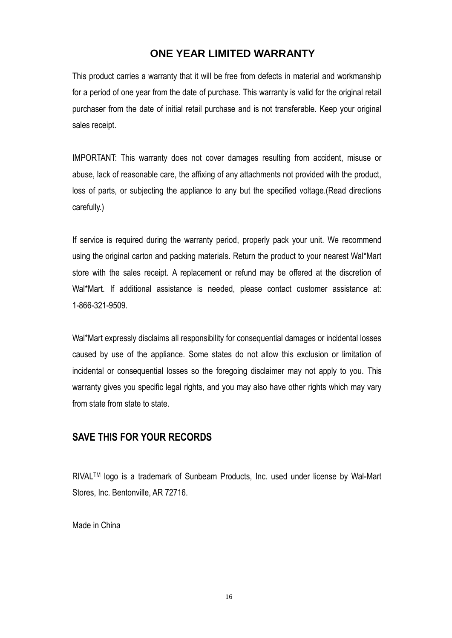#### **ONE YEAR LIMITED WARRANTY**

This product carries a warranty that it will be free from defects in material and workmanship for a period of one year from the date of purchase. This warranty is valid for the original retail purchaser from the date of initial retail purchase and is not transferable. Keep your original sales receipt.

IMPORTANT: This warranty does not cover damages resulting from accident, misuse or abuse, lack of reasonable care, the affixing of any attachments not provided with the product, loss of parts, or subjecting the appliance to any but the specified voltage.(Read directions carefully.)

If service is required during the warranty period, properly pack your unit. We recommend using the original carton and packing materials. Return the product to your nearest Wal\*Mart store with the sales receipt. A replacement or refund may be offered at the discretion of Wal\*Mart. If additional assistance is needed, please contact customer assistance at: 1-866-321-9509.

Wal\*Mart expressly disclaims all responsibility for consequential damages or incidental losses caused by use of the appliance. Some states do not allow this exclusion or limitation of incidental or consequential losses so the foregoing disclaimer may not apply to you. This warranty gives you specific legal rights, and you may also have other rights which may vary from state from state to state.

#### **SAVE THIS FOR YOUR RECORDS**

RIVALTM logo is a trademark of Sunbeam Products, Inc. used under license by Wal-Mart Stores, Inc. Bentonville, AR 72716.

Made in China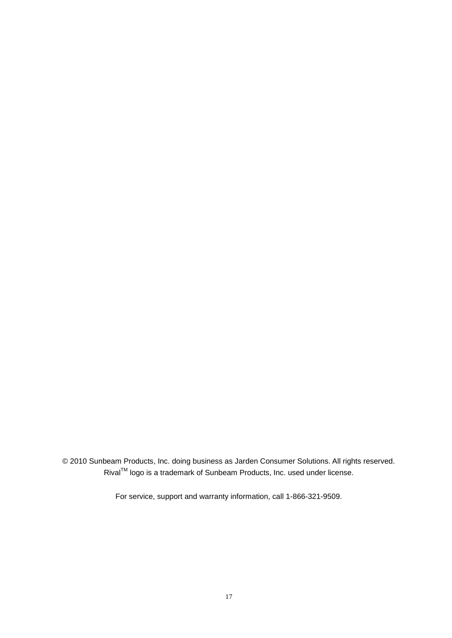© 2010 Sunbeam Products, Inc. doing business as Jarden Consumer Solutions. All rights reserved. Rival<sup>™</sup> logo is a trademark of Sunbeam Products, Inc. used under license.

For service, support and warranty information, call 1-866-321-9509.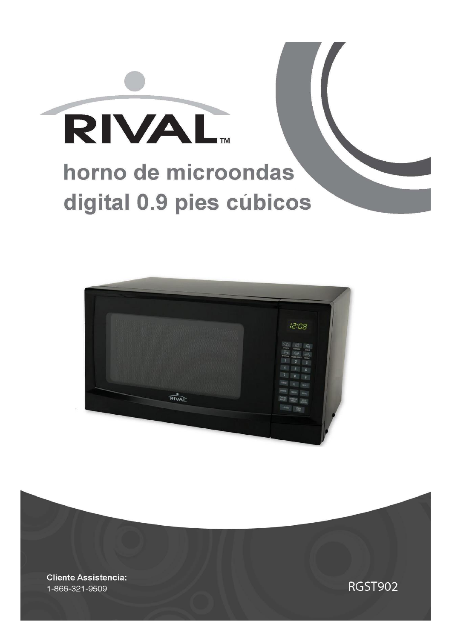



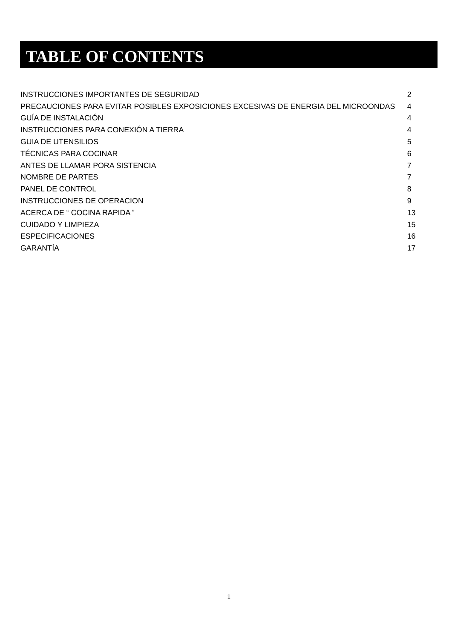# **TABLE OF CONTENTS**

| INSTRUCCIONES IMPORTANTES DE SEGURIDAD                                             | 2  |
|------------------------------------------------------------------------------------|----|
| PRECAUCIONES PARA EVITAR POSIBLES EXPOSICIONES EXCESIVAS DE ENERGIA DEL MICROONDAS | 4  |
| <b>GUÍA DE INSTALACIÓN</b>                                                         | 4  |
| INSTRUCCIONES PARA CONEXIÓN A TIERRA                                               | 4  |
| <b>GUIA DE UTENSILIOS</b>                                                          | 5  |
| <b>TÉCNICAS PARA COCINAR</b>                                                       | 6  |
| ANTES DE LLAMAR PORA SISTENCIA                                                     | 7  |
| NOMBRE DE PARTES                                                                   | 7  |
| PANEL DE CONTROL                                                                   | 8  |
| INSTRUCCIONES DE OPERACION                                                         | 9  |
| ACERCA DE " COCINA RAPIDA"                                                         | 13 |
| CUIDADO Y LIMPIEZA                                                                 | 15 |
| <b>ESPECIFICACIONES</b>                                                            | 16 |
| <b>GARANTIA</b>                                                                    | 17 |
|                                                                                    |    |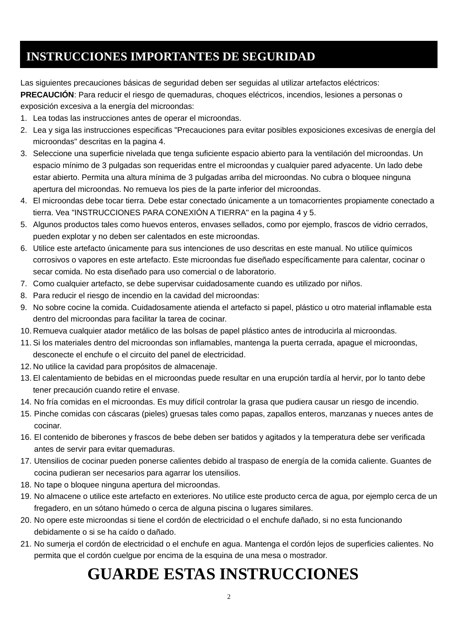## **INSTRUCCIONES IMPORTANTES DE SEGURIDAD**

Las siguientes precauciones básicas de seguridad deben ser seguidas al utilizar artefactos eléctricos: **PRECAUCIÓN**: Para reducir el riesgo de quemaduras, choques eléctricos, incendios, lesiones a personas o exposición excesiva a la energía del microondas:

- 1. Lea todas las instrucciones antes de operar el microondas.
- 2. Lea y siga las instrucciones especificas "Precauciones para evitar posibles exposiciones excesivas de energía del microondas" descritas en la pagina 4.
- 3. Seleccione una superficie nivelada que tenga suficiente espacio abierto para la ventilación del microondas. Un espacio mínimo de 3 pulgadas son requeridas entre el microondas y cualquier pared adyacente. Un lado debe estar abierto. Permita una altura mínima de 3 pulgadas arriba del microondas. No cubra o bloquee ninguna apertura del microondas. No remueva los pies de la parte inferior del microondas.
- 4. El microondas debe tocar tierra. Debe estar conectado únicamente a un tomacorrientes propiamente conectado a tierra. Vea "INSTRUCCIONES PARA CONEXIÓN A TIERRA" en la pagina 4 y 5.
- 5. Algunos productos tales como huevos enteros, envases sellados, como por ejemplo, frascos de vidrio cerrados, pueden explotar y no deben ser calentados en este microondas.
- 6. Utilice este artefacto únicamente para sus intenciones de uso descritas en este manual. No utilice químicos corrosivos o vapores en este artefacto. Este microondas fue diseñado específicamente para calentar, cocinar o secar comida. No esta diseñado para uso comercial o de laboratorio.
- 7. Como cualquier artefacto, se debe supervisar cuidadosamente cuando es utilizado por niños.
- 8. Para reducir el riesgo de incendio en la cavidad del microondas:
- 9. No sobre cocine la comida. Cuidadosamente atienda el artefacto si papel, plástico u otro material inflamable esta dentro del microondas para facilitar la tarea de cocinar.
- 10. Remueva cualquier atador metálico de las bolsas de papel plástico antes de introducirla al microondas.
- 11. Si los materiales dentro del microondas son inflamables, mantenga la puerta cerrada, apague el microondas, desconecte el enchufe o el circuito del panel de electricidad.
- 12. No utilice la cavidad para propósitos de almacenaje.
- 13. El calentamiento de bebidas en el microondas puede resultar en una erupción tardía al hervir, por lo tanto debe tener precaución cuando retire el envase.
- 14. No fría comidas en el microondas. Es muy difícil controlar la grasa que pudiera causar un riesgo de incendio.
- 15. Pinche comidas con cáscaras (pieles) gruesas tales como papas, zapallos enteros, manzanas y nueces antes de cocinar.
- 16. El contenido de biberones y frascos de bebe deben ser batidos y agitados y la temperatura debe ser verificada antes de servir para evitar quemaduras.
- 17. Utensilios de cocinar pueden ponerse calientes debido al traspaso de energía de la comida caliente. Guantes de cocina pudieran ser necesarios para agarrar los utensilios.
- 18. No tape o bloquee ninguna apertura del microondas.
- 19. No almacene o utilice este artefacto en exteriores. No utilice este producto cerca de agua, por ejemplo cerca de un fregadero, en un sótano húmedo o cerca de alguna piscina o lugares similares.
- 20. No opere este microondas si tiene el cordón de electricidad o el enchufe dañado, si no esta funcionando debidamente o si se ha caído o dañado.
- 21. No sumerja el cordón de electricidad o el enchufe en agua. Mantenga el cordón lejos de superficies calientes. No permita que el cordón cuelgue por encima de la esquina de una mesa o mostrador.

## **GUARDE ESTAS INSTRUCCIONES**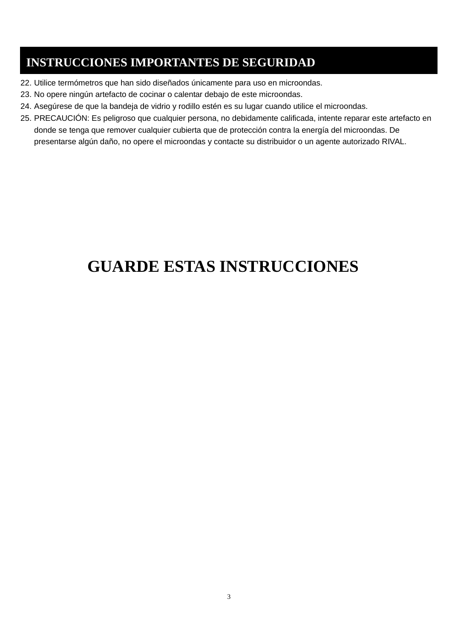## **INSTRUCCIONES IMPORTANTES DE SEGURIDAD**

- 22. Utilice termómetros que han sido diseñados únicamente para uso en microondas.
- 23. No opere ningún artefacto de cocinar o calentar debajo de este microondas.
- 24. Asegúrese de que la bandeja de vidrio y rodillo estén es su lugar cuando utilice el microondas.
- 25. PRECAUCIÓN: Es peligroso que cualquier persona, no debidamente calificada, intente reparar este artefacto en donde se tenga que remover cualquier cubierta que de protección contra la energía del microondas. De presentarse algún daño, no opere el microondas y contacte su distribuidor o un agente autorizado RIVAL.

## **GUARDE ESTAS INSTRUCCIONES**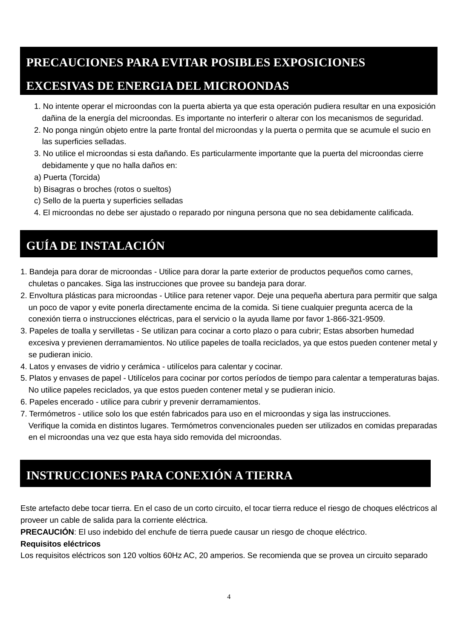## **PRECAUCIONES PARA EVITAR POSIBLES EXPOSICIONES**

## **EXCESIVAS DE ENERGIA DEL MICROONDAS**

- 1. No intente operar el microondas con la puerta abierta ya que esta operación pudiera resultar en una exposición dañina de la energía del microondas. Es importante no interferir o alterar con los mecanismos de seguridad.
- 2. No ponga ningún objeto entre la parte frontal del microondas y la puerta o permita que se acumule el sucio en las superficies selladas.
- 3. No utilice el microondas si esta dañando. Es particularmente importante que la puerta del microondas cierre debidamente y que no halla daños en:
- a) Puerta (Torcida)
- b) Bisagras o broches (rotos o sueltos)
- c) Sello de la puerta y superficies selladas
- 4. El microondas no debe ser ajustado o reparado por ninguna persona que no sea debidamente calificada.

## **GUÍA DE INSTALACIÓN**

- 1. Bandeja para dorar de microondas Utilice para dorar la parte exterior de productos pequeños como carnes, chuletas o pancakes. Siga las instrucciones que provee su bandeja para dorar.
- 2. Envoltura plásticas para microondas Utilice para retener vapor. Deje una pequeña abertura para permitir que salga un poco de vapor y evite ponerla directamente encima de la comida. Si tiene cualquier pregunta acerca de la conexión tierra o instrucciones eléctricas, para el servicio o la ayuda llame por favor 1-866-321-9509.
- 3. Papeles de toalla y servilletas Se utilizan para cocinar a corto plazo o para cubrir; Estas absorben humedad excesiva y previenen derramamientos. No utilice papeles de toalla reciclados, ya que estos pueden contener metal y se pudieran inicio.
- 4. Latos y envases de vidrio y cerámica utilícelos para calentar y cocinar.
- 5. Platos y envases de papel Utilícelos para cocinar por cortos períodos de tiempo para calentar a temperaturas bajas. No utilice papeles reciclados, ya que estos pueden contener metal y se pudieran inicio.
- 6. Papeles encerado utilice para cubrir y prevenir derramamientos.
- 7. Termómetros utilice solo los que estén fabricados para uso en el microondas y siga las instrucciones. Verifique la comida en distintos lugares. Termómetros convencionales pueden ser utilizados en comidas preparadas en el microondas una vez que esta haya sido removida del microondas.

## **INSTRUCCIONES PARA CONEXIÓN A TIERRA**

Este artefacto debe tocar tierra. En el caso de un corto circuito, el tocar tierra reduce el riesgo de choques eléctricos al proveer un cable de salida para la corriente eléctrica.

**PRECAUCIÓN**: El uso indebido del enchufe de tierra puede causar un riesgo de choque eléctrico.

#### **Requisitos eléctricos**

Los requisitos eléctricos son 120 voltios 60Hz AC, 20 amperios. Se recomienda que se provea un circuito separado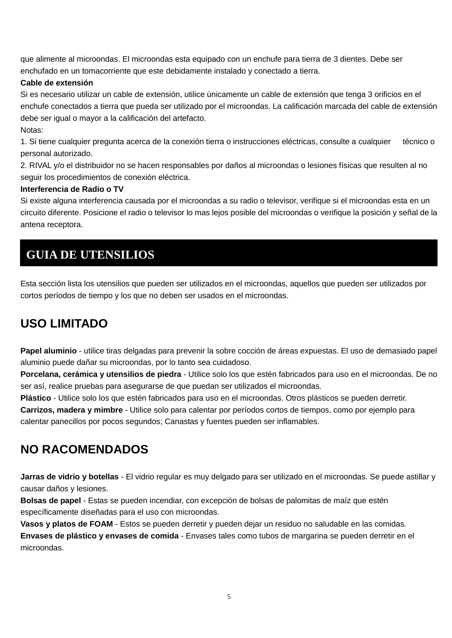que alimente al microondas. El microondas esta equipado con un enchufe para tierra de 3 dientes. Debe ser enchufado en un tomacorriente que este debidamente instalado y conectado a tierra.

#### **Cable de extensión**

Si es necesario utilizar un cable de extensión, utilice únicamente un cable de extensión que tenga 3 orificios en el enchufe conectados a tierra que pueda ser utilizado por el microondas. La calificación marcada del cable de extensión debe ser igual o mayor a la calificación del artefacto.

Notas:

1. Si tiene cualquier pregunta acerca de la conexión tierra o instrucciones eléctricas, consulte a cualquier técnico o personal autorizado.

2. RIVAL y/o el distribuidor no se hacen responsables por daños al microondas o lesiones físicas que resulten al no seguir los procedimientos de conexión eléctrica.

#### **Interferencia de Radio o TV**

Si existe alguna interferencia causada por el microondas a su radio o televisor, verifique si el microondas esta en un circuito diferente. Posicione el radio o televisor lo mas lejos posible del microondas o verifique la posición y señal de la antena receptora.

## **GUIA DE UTENSILIOS**

Esta sección lista los utensilios que pueden ser utilizados en el microondas, aquellos que pueden ser utilizados por cortos períodos de tiempo y los que no deben ser usados en el microondas.

## **USO LIMITADO**

**Papel aluminio** - utilice tiras delgadas para prevenir la sobre cocción de áreas expuestas. El uso de demasiado papel aluminio puede dañar su microondas, por lo tanto sea cuidadoso.

**Porcelana, cerámica y utensilios de piedra** - Utilice solo los que estén fabricados para uso en el microondas. De no ser así, realice pruebas para asegurarse de que puedan ser utilizados el microondas.

**Plástico** - Utilice solo los que estén fabricados para uso en el microondas. Otros plásticos se pueden derretir.

**Carrizos, madera y mimbre** - Utilice solo para calentar por períodos cortos de tiempos, como por ejemplo para calentar panecillos por pocos segundos; Canastas y fuentes pueden ser inflamables.

## **NO RACOMENDADOS**

**Jarras de vidrio y botellas** - El vidrio regular es muy delgado para ser utilizado en el microondas. Se puede astillar y causar daños y lesiones.

**Bolsas de papel** - Estas se pueden incendiar, con excepción de bolsas de palomitas de maíz que estén específicamente diseñadas para el uso con microondas.

**Vasos y platos de FOAM** - Estos se pueden derretir y pueden dejar un residuo no saludable en las comidas.

**Envases de plástico y envases de comida** - Envases tales como tubos de margarina se pueden derretir en el microondas.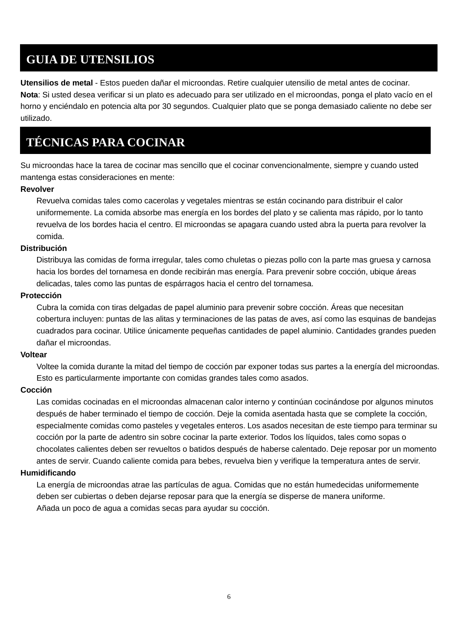## **GUIA DE UTENSILIOS**

**Utensilios de metal** - Estos pueden dañar el microondas. Retire cualquier utensilio de metal antes de cocinar. **Nota**: Si usted desea verificar si un plato es adecuado para ser utilizado en el microondas, ponga el plato vacío en el horno y enciéndalo en potencia alta por 30 segundos. Cualquier plato que se ponga demasiado caliente no debe ser utilizado.

## **TÉCNICAS PARA COCINAR**

Su microondas hace la tarea de cocinar mas sencillo que el cocinar convencionalmente, siempre y cuando usted mantenga estas consideraciones en mente:

#### **Revolver**

Revuelva comidas tales como cacerolas y vegetales mientras se están cocinando para distribuir el calor uniformemente. La comida absorbe mas energía en los bordes del plato y se calienta mas rápido, por lo tanto revuelva de los bordes hacia el centro. El microondas se apagara cuando usted abra la puerta para revolver la comida.

#### **Distribución**

Distribuya las comidas de forma irregular, tales como chuletas o piezas pollo con la parte mas gruesa y carnosa hacia los bordes del tornamesa en donde recibirán mas energía. Para prevenir sobre cocción, ubique áreas delicadas, tales como las puntas de espárragos hacia el centro del tornamesa.

#### **Protección**

Cubra la comida con tiras delgadas de papel aluminio para prevenir sobre cocción. Áreas que necesitan cobertura incluyen: puntas de las alitas y terminaciones de las patas de aves, así como las esquinas de bandejas cuadrados para cocinar. Utilice únicamente pequeñas cantidades de papel aluminio. Cantidades grandes pueden dañar el microondas.

#### **Voltear**

Voltee la comida durante la mitad del tiempo de cocción par exponer todas sus partes a la energía del microondas. Esto es particularmente importante con comidas grandes tales como asados.

#### **Cocción**

Las comidas cocinadas en el microondas almacenan calor interno y continúan cocinándose por algunos minutos después de haber terminado el tiempo de cocción. Deje la comida asentada hasta que se complete la cocción, especialmente comidas como pasteles y vegetales enteros. Los asados necesitan de este tiempo para terminar su cocción por la parte de adentro sin sobre cocinar la parte exterior. Todos los líquidos, tales como sopas o chocolates calientes deben ser revueltos o batidos después de haberse calentado. Deje reposar por un momento antes de servir. Cuando caliente comida para bebes, revuelva bien y verifique la temperatura antes de servir.

#### **Humidificando**

La energía de microondas atrae las partículas de agua. Comidas que no están humedecidas uniformemente deben ser cubiertas o deben dejarse reposar para que la energía se disperse de manera uniforme. Añada un poco de agua a comidas secas para ayudar su cocción.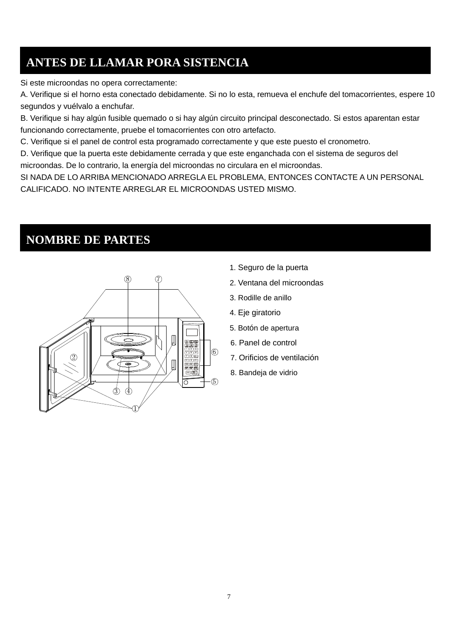## **ANTES DE LLAMAR PORA SISTENCIA**

Si este microondas no opera correctamente:

A. Verifique si el horno esta conectado debidamente. Si no lo esta, remueva el enchufe del tomacorrientes, espere 10 segundos y vuélvalo a enchufar.

B. Verifique si hay algún fusible quemado o si hay algún circuito principal desconectado. Si estos aparentan estar funcionando correctamente, pruebe el tomacorrientes con otro artefacto.

C. Verifique si el panel de control esta programado correctamente y que este puesto el cronometro.

D. Verifique que la puerta este debidamente cerrada y que este enganchada con el sistema de seguros del microondas. De lo contrario, la energía del microondas no circulara en el microondas.

SI NADA DE LO ARRIBA MENCIONADO ARREGLA EL PROBLEMA, ENTONCES CONTACTE A UN PERSONAL CALIFICADO. NO INTENTE ARREGLAR EL MICROONDAS USTED MISMO.

## **NOMBRE DE PARTES**



- 1. Seguro de la puerta
- 
- 3. Rodille de anillo
- 4. Eje giratorio
- 5. Botón de apertura
- 6. Panel de control
- 7. Orificios de ventilación
- 8. Bandeja de vidrio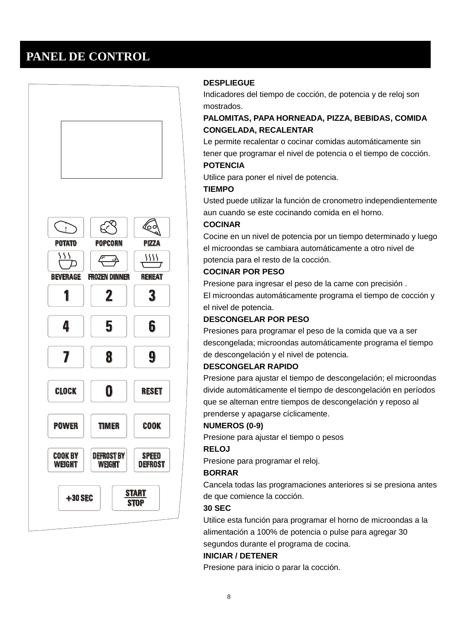## **PANEL DE CONTROL**



#### **DESPLIEGUE**

Indicadores del tiempo de cocción, de potencia y de reloj son mostrados.

#### **PALOMITAS, PAPA HORNEADA, PIZZA, BEBIDAS, COMIDA CONGELADA, RECALENTAR**

Le permite recalentar o cocinar comidas automáticamente sin tener que programar el nivel de potencia o el tiempo de cocción.

#### **POTENCIA**

Utilice para poner el nivel de potencia.

#### **TIEMPO**

Usted puede utilizar la función de cronometro independientemente aun cuando se este cocinando comida en el horno.

#### **COCINAR**

Cocine en un nivel de potencia por un tiempo determinado y luego el microondas se cambiara automáticamente a otro nivel de potencia para el resto de la cocción.

#### **COCINAR POR PESO**

Presione para ingresar el peso de la carne con precisión . El microondas automáticamente programa el tiempo de cocción y el nivel de potencia.

#### **DESCONGELAR POR PESO**

Presiones para programar el peso de la comida que va a ser descongelada; microondas automáticamente programa el tiempo de descongelación y el nivel de potencia.

#### **DESCONGELAR RAPIDO**

Presione para ajustar el tiempo de descongelación; el microondas divide automáticamente el tiempo de descongelación en períodos que se alternan entre tiempos de descongelación y reposo al prenderse y apagarse cíclicamente.

#### **NUMEROS (0-9)**

Presione para ajustar el tiempo o pesos

#### **RELOJ**

Presione para programar el reloj.

#### **BORRAR**

Cancela todas las programaciones anteriores si se presiona antes de que comience la cocción.

#### **30 SEC**

Utilice esta función para programar el horno de microondas a la alimentación a 100% de potencia o pulse para agregar 30 segundos durante el programa de cocina.

#### **INICIAR / DETENER**

Presione para inicio o parar la cocción.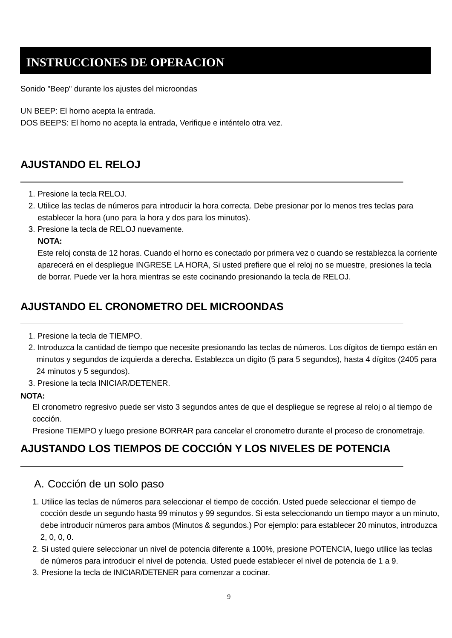Sonido "Beep" durante los ajustes del microondas

UN BEEP: El horno acepta la entrada.

DOS BEEPS: El horno no acepta la entrada, Verifique e inténtelo otra vez.

## **AJUSTANDO EL RELOJ**

- 1. Presione la tecla RELOJ.
- 2. Utilice las teclas de números para introducir la hora correcta. Debe presionar por lo menos tres teclas para establecer la hora (uno para la hora y dos para los minutos).
- 3. Presione la tecla de RELOJ nuevamente.

#### **NOTA:**

Este reloj consta de 12 horas. Cuando el horno es conectado por primera vez o cuando se restablezca la corriente aparecerá en el despliegue INGRESE LA HORA, Si usted prefiere que el reloj no se muestre, presiones la tecla de borrar. Puede ver la hora mientras se este cocinando presionando la tecla de RELOJ.

## **AJUSTANDO EL CRONOMETRO DEL MICROONDAS**

- 1. Presione la tecla de TIEMPO.
- 2. Introduzca la cantidad de tiempo que necesite presionando las teclas de números. Los dígitos de tiempo están en minutos y segundos de izquierda a derecha. Establezca un digito (5 para 5 segundos), hasta 4 dígitos (2405 para 24 minutos y 5 segundos).
- 3. Presione la tecla INICIAR/DETENER.

#### **NOTA:**

El cronometro regresivo puede ser visto 3 segundos antes de que el despliegue se regrese al reloj o al tiempo de cocción.

Presione TIEMPO y luego presione BORRAR para cancelar el cronometro durante el proceso de cronometraje.

## **AJUSTANDO LOS TIEMPOS DE COCCIÓN Y LOS NIVELES DE POTENCIA**

#### A. Cocción de un solo paso

- 1. Utilice las teclas de números para seleccionar el tiempo de cocción. Usted puede seleccionar el tiempo de cocción desde un segundo hasta 99 minutos y 99 segundos. Si esta seleccionando un tiempo mayor a un minuto, debe introducir números para ambos (Minutos & segundos.) Por ejemplo: para establecer 20 minutos, introduzca 2, 0, 0, 0.
- 2. Si usted quiere seleccionar un nivel de potencia diferente a 100%, presione POTENCIA, luego utilice las teclas de números para introducir el nivel de potencia. Usted puede establecer el nivel de potencia de 1 a 9.
- 3. Presione la tecla de INICIAR/DETENER para comenzar a cocinar.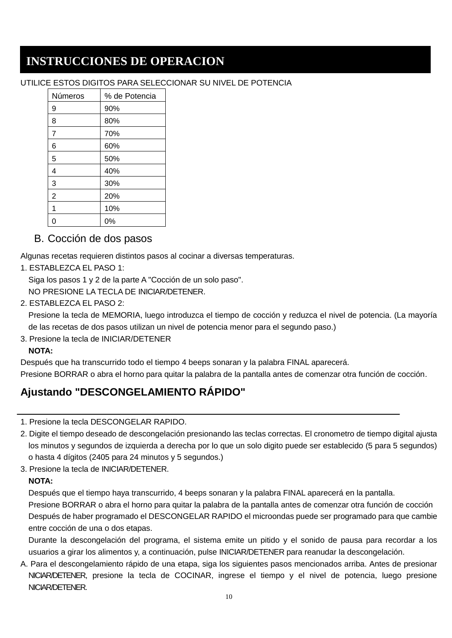#### UTILICE ESTOS DIGITOS PARA SELECCIONAR SU NIVEL DE POTENCIA

| Números        | % de Potencia |
|----------------|---------------|
| 9              | 90%           |
| 8              | 80%           |
| $\overline{7}$ | 70%           |
| 6              | 60%           |
| 5              | 50%           |
| 4              | 40%           |
| 3              | 30%           |
| $\overline{2}$ | 20%           |
|                | 10%           |
|                | 0%            |

B. Cocción de dos pasos

Algunas recetas requieren distintos pasos al cocinar a diversas temperaturas.

1. ESTABLEZCA EL PASO 1:

Siga los pasos 1 y 2 de la parte A "Cocción de un solo paso".

NO PRESIONE LA TECLA DE INICIAR/DETENER.

2. ESTABLEZCA EL PASO 2:

Presione la tecla de MEMORIA, luego introduzca el tiempo de cocción y reduzca el nivel de potencia. (La mayoría de las recetas de dos pasos utilizan un nivel de potencia menor para el segundo paso.)

3. Presione la tecla de INICIAR/DETENER

#### **NOTA:**

Después que ha transcurrido todo el tiempo 4 beeps sonaran y la palabra FINAL aparecerá. Presione BORRAR o abra el horno para quitar la palabra de la pantalla antes de comenzar otra función de cocción.

## **Ajustando "DESCONGELAMIENTO RÁPIDO"**

- 1. Presione la tecla DESCONGELAR RAPIDO.
- 2. Digite el tiempo deseado de descongelación presionando las teclas correctas. El cronometro de tiempo digital ajusta los minutos y segundos de izquierda a derecha por lo que un solo digito puede ser establecido (5 para 5 segundos) o hasta 4 dígitos (2405 para 24 minutos y 5 segundos.)
- 3. Presione la tecla de INICIAR/DETENER.

#### **NOTA:**

Después que el tiempo haya transcurrido, 4 beeps sonaran y la palabra FINAL aparecerá en la pantalla.

Presione BORRAR o abra el horno para quitar la palabra de la pantalla antes de comenzar otra función de cocción Después de haber programado el DESCONGELAR RAPIDO el microondas puede ser programado para que cambie entre cocción de una o dos etapas.

Durante la descongelación del programa, el sistema emite un pitido y el sonido de pausa para recordar a los usuarios a girar los alimentos y, a continuación, pulse INICIAR/DETENER para reanudar la descongelación.

A. Para el descongelamiento rápido de una etapa, siga los siguientes pasos mencionados arriba. Antes de presionar NICIAR/DETENER, presione la tecla de COCINAR, ingrese el tiempo y el nivel de potencia, luego presione NICIAR/DETENER.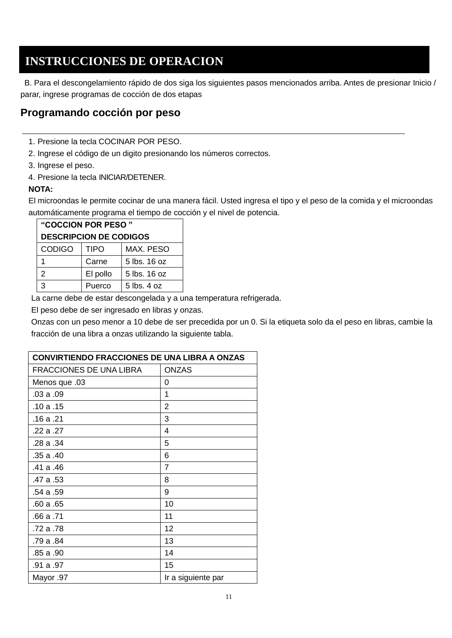B. Para el descongelamiento rápido de dos siga los siguientes pasos mencionados arriba. Antes de presionar Inicio / parar, ingrese programas de cocción de dos etapas

#### **Programando cocción por peso**

- 1. Presione la tecla COCINAR POR PESO.
- 2. Ingrese el código de un digito presionando los números correctos.
- 3. Ingrese el peso.
- 4. Presione la tecla INICIAR/DETENER.

#### **NOTA:**

El microondas le permite cocinar de una manera fácil. Usted ingresa el tipo y el peso de la comida y el microondas automáticamente programa el tiempo de cocción y el nivel de potencia.

| "COCCION POR PESO"            |             |                 |
|-------------------------------|-------------|-----------------|
| <b>DESCRIPCION DE CODIGOS</b> |             |                 |
| <b>CODIGO</b>                 | <b>TIPO</b> | MAX. PESO       |
|                               | Carne       | 5 lbs. 16 oz    |
| 2                             | El pollo    | 5 lbs. 16 oz    |
|                               | Puerco      | $5$ lbs. $4$ oz |

La carne debe de estar descongelada y a una temperatura refrigerada.

El peso debe de ser ingresado en libras y onzas.

Onzas con un peso menor a 10 debe de ser precedida por un 0. Si la etiqueta solo da el peso en libras, cambie la fracción de una libra a onzas utilizando la siguiente tabla.

| <b>CONVIRTIENDO FRACCIONES DE UNA LIBRA A ONZAS</b> |                    |
|-----------------------------------------------------|--------------------|
| <b>FRACCIONES DE UNA LIBRA</b>                      | <b>ONZAS</b>       |
| Menos que .03                                       | 0                  |
| .03a.09                                             | 1                  |
| .10a.15                                             | $\overline{2}$     |
| .16a.21                                             | 3                  |
| .22 a .27                                           | 4                  |
| .28 a .34                                           | 5                  |
| .35 a .40                                           | 6                  |
| .41 a .46                                           | $\overline{7}$     |
| .47 a .53                                           | 8                  |
| .54 a .59                                           | 9                  |
| .60a.65                                             | 10                 |
| .66 a .71                                           | 11                 |
| .72 a .78                                           | 12                 |
| .79 a .84                                           | 13                 |
| .85 a .90                                           | 14                 |
| .91 a .97                                           | 15                 |
| Mayor .97                                           | Ir a siguiente par |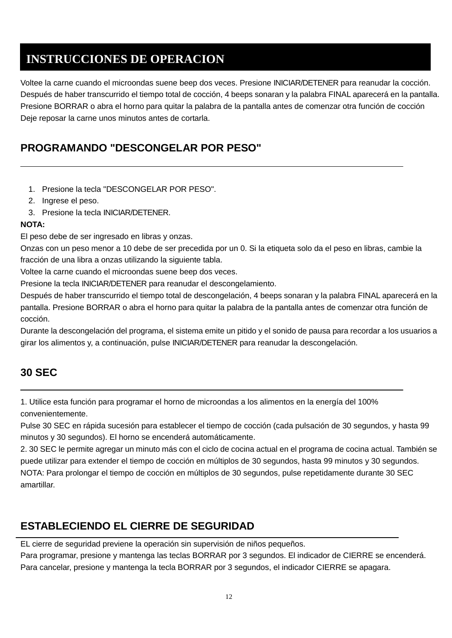Voltee la carne cuando el microondas suene beep dos veces. Presione INICIAR/DETENER para reanudar la cocción. Después de haber transcurrido el tiempo total de cocción, 4 beeps sonaran y la palabra FINAL aparecerá en la pantalla. Presione BORRAR o abra el horno para quitar la palabra de la pantalla antes de comenzar otra función de cocción Deje reposar la carne unos minutos antes de cortarla.

## **PROGRAMANDO "DESCONGELAR POR PESO"**

- 1. Presione la tecla "DESCONGELAR POR PESO".
- 2. Ingrese el peso.
- 3. Presione la tecla INICIAR/DETENER.

#### **NOTA:**

El peso debe de ser ingresado en libras y onzas.

Onzas con un peso menor a 10 debe de ser precedida por un 0. Si la etiqueta solo da el peso en libras, cambie la fracción de una libra a onzas utilizando la siguiente tabla.

Voltee la carne cuando el microondas suene beep dos veces.

Presione la tecla INICIAR/DETENER para reanudar el descongelamiento.

Después de haber transcurrido el tiempo total de descongelación, 4 beeps sonaran y la palabra FINAL aparecerá en la pantalla. Presione BORRAR o abra el horno para quitar la palabra de la pantalla antes de comenzar otra función de cocción.

Durante la descongelación del programa, el sistema emite un pitido y el sonido de pausa para recordar a los usuarios a girar los alimentos y, a continuación, pulse INICIAR/DETENER para reanudar la descongelación.

## **30 SEC**

1. Utilice esta función para programar el horno de microondas a los alimentos en la energía del 100% convenientemente.

Pulse 30 SEC en rápida sucesión para establecer el tiempo de cocción (cada pulsación de 30 segundos, y hasta 99 minutos y 30 segundos). El horno se encenderá automáticamente.

2. 30 SEC le permite agregar un minuto más con el ciclo de cocina actual en el programa de cocina actual. También se puede utilizar para extender el tiempo de cocción en múltiplos de 30 segundos, hasta 99 minutos y 30 segundos. NOTA: Para prolongar el tiempo de cocción en múltiplos de 30 segundos, pulse repetidamente durante 30 SEC amartillar.

## **ESTABLECIENDO EL CIERRE DE SEGURIDAD**

EL cierre de seguridad previene la operación sin supervisión de niños pequeños.

Para programar, presione y mantenga las teclas BORRAR por 3 segundos. El indicador de CIERRE se encenderá. Para cancelar, presione y mantenga la tecla BORRAR por 3 segundos, el indicador CIERRE se apagara.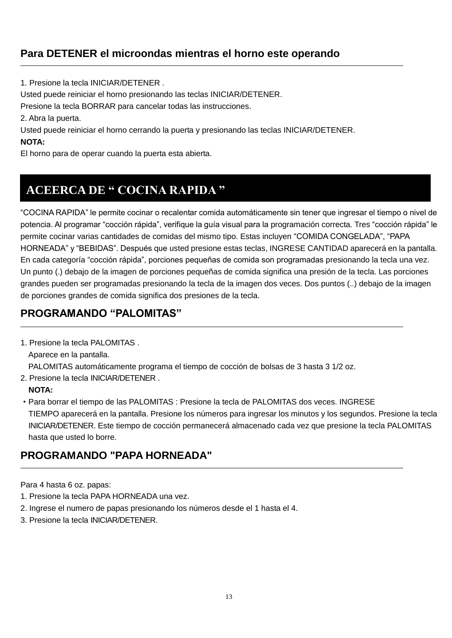## **Para DETENER el microondas mientras el horno este operando**

1. Presione la tecla INICIAR/DETENER .

Usted puede reiniciar el horno presionando las teclas INICIAR/DETENER.

Presione la tecla BORRAR para cancelar todas las instrucciones.

2. Abra la puerta.

Usted puede reiniciar el horno cerrando la puerta y presionando las teclas INICIAR/DETENER.

#### **NOTA:**

El horno para de operar cuando la puerta esta abierta.

## **ACEERCA DE " COCINA RAPIDA "**

"COCINA RAPIDA" le permite cocinar o recalentar comida automáticamente sin tener que ingresar el tiempo o nivel de potencia. Al programar "cocción rápida", verifique la guía visual para la programación correcta. Tres "cocción rápida" le permite cocinar varias cantidades de comidas del mismo tipo. Estas incluyen "COMIDA CONGELADA", "PAPA HORNEADA" y "BEBIDAS". Después que usted presione estas teclas, INGRESE CANTIDAD aparecerá en la pantalla. En cada categoría "cocción rápida", porciones pequeñas de comida son programadas presionando la tecla una vez. Un punto (.) debajo de la imagen de porciones pequeñas de comida significa una presión de la tecla. Las porciones grandes pueden ser programadas presionando la tecla de la imagen dos veces. Dos puntos (..) debajo de la imagen de porciones grandes de comida significa dos presiones de la tecla.

## **PROGRAMANDO "PALOMITAS"**

1. Presione la tecla PALOMITAS .

Aparece en la pantalla.

PALOMITAS automáticamente programa el tiempo de cocción de bolsas de 3 hasta 3 1/2 oz.

2. Presione la tecla INICIAR/DETENER .

#### **NOTA:**

·Para borrar el tiempo de las PALOMITAS : Presione la tecla de PALOMITAS dos veces. INGRESE TIEMPO aparecerá en la pantalla. Presione los números para ingresar los minutos y los segundos. Presione la tecla INICIAR/DETENER. Este tiempo de cocción permanecerá almacenado cada vez que presione la tecla PALOMITAS hasta que usted lo borre.

## **PROGRAMANDO "PAPA HORNEADA"**

Para 4 hasta 6 oz. papas:

- 1. Presione la tecla PAPA HORNEADA una vez.
- 2. Ingrese el numero de papas presionando los números desde el 1 hasta el 4.
- 3. Presione la tecla INICIAR/DETENER.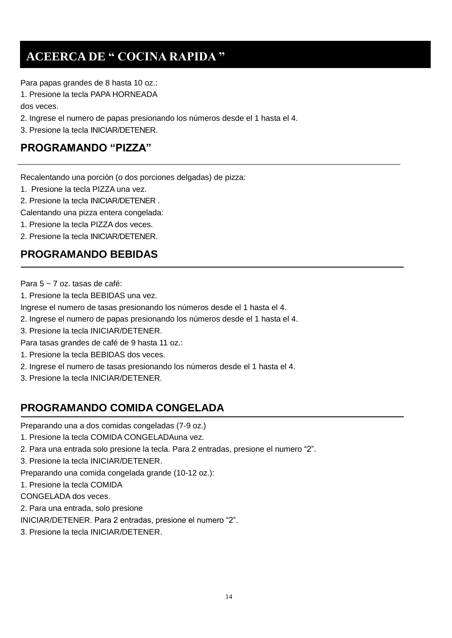## **ACEERCA DE " COCINA RAPIDA "**

Para papas grandes de 8 hasta 10 oz.:

1. Presione la tecla PAPA HORNEADA

dos veces.

2. Ingrese el numero de papas presionando los números desde el 1 hasta el 4.

3. Presione la tecla INICIAR/DETENER.

### **PROGRAMANDO "PIZZA"**

Recalentando una porción (o dos porciones delgadas) de pizza:

- 1. Presione la tecla PIZZA una vez.
- 2. Presione la tecla INICIAR/DETENER .

Calentando una pizza entera congelada:

1. Presione la tecla PIZZA dos veces.

2. Presione la tecla INICIAR/DETENER.

### **PROGRAMANDO BEBIDAS**

Para 5 ~ 7 oz. tasas de café:

1. Presione la tecla BEBIDAS una vez.

Ingrese el numero de tasas presionando los números desde el 1 hasta el 4.

2. Ingrese el numero de papas presionando los números desde el 1 hasta el 4.

3. Presione la tecla INICIAR/DETENER.

- Para tasas grandes de café de 9 hasta 11 oz.:
- 1. Presione la tecla BEBIDAS dos veces.
- 2. Ingrese el numero de tasas presionando los números desde el 1 hasta el 4.
- 3. Presione la tecla INICIAR/DETENER.

## **PROGRAMANDO COMIDA CONGELADA**

Preparando una a dos comidas congeladas (7-9 oz.)

- 1. Presione la tecla COMIDA CONGELADAuna vez.
- 2. Para una entrada solo presione la tecla. Para 2 entradas, presione el numero "2".
- 3. Presione la tecla INICIAR/DETENER.

Preparando una comida congelada grande (10-12 oz.):

1. Presione la tecla COMIDA

CONGELADA dos veces.

2. Para una entrada, solo presione

INICIAR/DETENER. Para 2 entradas, presione el numero "2".

3. Presione la tecla INICIAR/DETENER.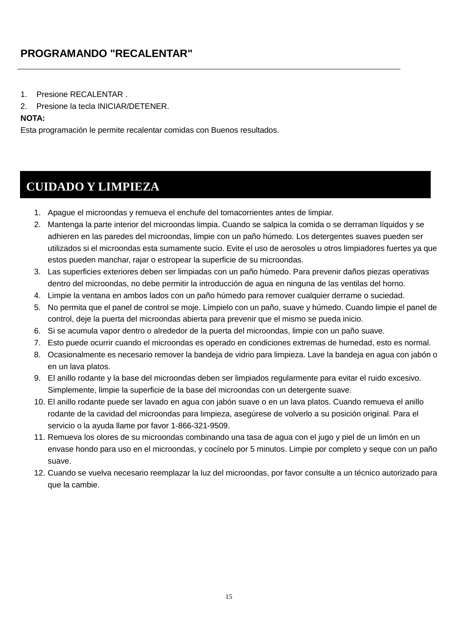## **PROGRAMANDO "RECALENTAR"**

- 1. Presione RECALENTAR .
- 2. Presione la tecla INICIAR/DETENER.

#### **NOTA:**

Esta programación le permite recalentar comidas con Buenos resultados.

## **CUIDADO Y LIMPIEZA**

- 1. Apague el microondas y remueva el enchufe del tomacorrientes antes de limpiar.
- 2. Mantenga la parte interior del microondas limpia. Cuando se salpica la comida o se derraman líquidos y se adhieren en las paredes del microondas, limpie con un paño húmedo. Los detergentes suaves pueden ser utilizados si el microondas esta sumamente sucio. Evite el uso de aerosoles u otros limpiadores fuertes ya que estos pueden manchar, rajar o estropear la superficie de su microondas.
- 3. Las superficies exteriores deben ser limpiadas con un paño húmedo. Para prevenir daños piezas operativas dentro del microondas, no debe permitir la introducción de agua en ninguna de las ventilas del horno.
- 4. Limpie la ventana en ambos lados con un paño húmedo para remover cualquier derrame o suciedad.
- 5. No permita que el panel de control se moje. Límpielo con un paño, suave y húmedo. Cuando limpie el panel de control, deje la puerta del microondas abierta para prevenir que el mismo se pueda inicio.
- 6. Si se acumula vapor dentro o alrededor de la puerta del microondas, limpie con un paño suave.
- 7. Esto puede ocurrir cuando el microondas es operado en condiciones extremas de humedad, esto es normal.
- 8. Ocasionalmente es necesario remover la bandeja de vidrio para limpieza. Lave la bandeja en agua con jabón o en un lava platos.
- 9. El anillo rodante y la base del microondas deben ser limpiados regularmente para evitar el ruido excesivo. Simplemente, limpie la superficie de la base del microondas con un detergente suave.
- 10. El anillo rodante puede ser lavado en agua con jabón suave o en un lava platos. Cuando remueva el anillo rodante de la cavidad del microondas para limpieza, asegúrese de volverlo a su posición original. Para el servicio o la ayuda llame por favor 1-866-321-9509.
- 11. Remueva los olores de su microondas combinando una tasa de agua con el jugo y piel de un limón en un envase hondo para uso en el microondas, y cocínelo por 5 minutos. Limpie por completo y seque con un paño suave.
- 12. Cuando se vuelva necesario reemplazar la luz del microondas, por favor consulte a un técnico autorizado para que la cambie.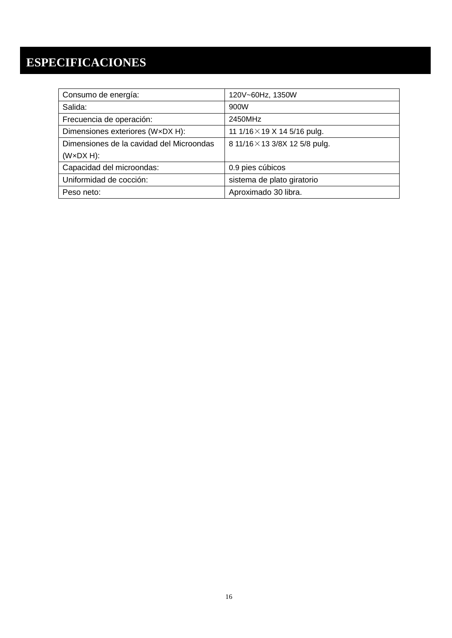## **ESPECIFICACIONES**

| Consumo de energía:                      | 120V~60Hz, 1350W                    |
|------------------------------------------|-------------------------------------|
| Salida:                                  | 900W                                |
| Frecuencia de operación:                 | 2450MHz                             |
| Dimensiones exteriores (WxDX H):         | 11 1/16 $\times$ 19 X 14 5/16 pulg. |
| Dimensiones de la cavidad del Microondas | 8 11/16 × 13 3/8X 12 5/8 pulg.      |
| $(W \times DX H)$ :                      |                                     |
| Capacidad del microondas:                | 0.9 pies cúbicos                    |
| Uniformidad de cocción:                  | sistema de plato giratorio          |
| Peso neto:                               | Aproximado 30 libra.                |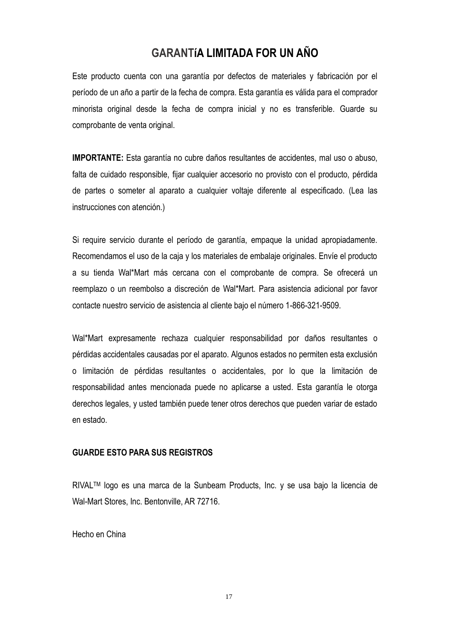### **GARANTÍA LIMITADA FOR UN AÑO**

Este producto cuenta con una garantía por defectos de materiales y fabricación por el período de un año a partir de la fecha de compra. Esta garantía es válida para el comprador minorista original desde la fecha de compra inicial y no es transferible. Guarde su comprobante de venta original.

**IMPORTANTE:** Esta garantía no cubre daños resultantes de accidentes, mal uso o abuso, falta de cuidado responsible, fijar cualquier accesorio no provisto con el producto, pérdida de partes o someter al aparato a cualquier voltaje diferente al especificado. (Lea las instrucciones con atención.)

Si require servicio durante el período de garantía, empaque la unidad apropiadamente. Recomendamos el uso de la caja y los materiales de embalaje originales. Envíe el producto a su tienda Wal\*Mart más cercana con el comprobante de compra. Se ofrecerá un reemplazo o un reembolso a discreción de Wal\*Mart. Para asistencia adicional por favor contacte nuestro servicio de asistencia al cliente bajo el nú mero 1-866-321-9509.

Wal\*Mart expresamente rechaza cualquier responsabilidad por daños resultantes o pérdidas accidentales causadas por el aparato. Algunos estados no permiten esta exclusión o limitación de pérdidas resultantes o accidentales, por lo que la limitación de responsabilidad antes mencionada puede no aplicarse a usted. Esta garantía le otorga derechos legales, y usted también puede tener otros derechos que pueden variar de estado en estado.

#### **GUARDE ESTO PARA SUS REGISTROS**

RIVALTM logo es una marca de la Sunbeam Products, Inc. y se usa bajo la licencia de Wal-Mart Stores, Inc. Bentonville, AR 72716.

Hecho en China